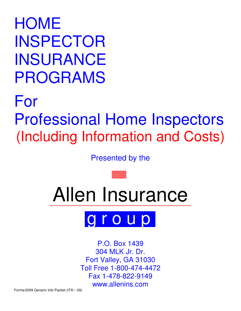HOME INSPECTOR INSURANCE PROGRAMS

# For Professional Home Inspectors (Including Information and Costs)

Presented by the





P.O. Box 1439 304 MLK Jr. Dr. Fort Valley, GA 31030 Toll Free 1-800-474-4472 Fax 1-478-822-9149 www.allenins.com

Forms/2009 Generic Info Packet (ITA – 09)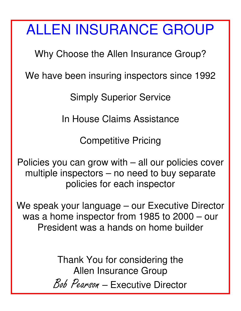# ALLEN INSURANCE GROUP

Why Choose the Allen Insurance Group?

We have been insuring inspectors since 1992

Simply Superior Service

In House Claims Assistance

Competitive Pricing

Policies you can grow with – all our policies cover multiple inspectors – no need to buy separate policies for each inspector

We speak your language – our Executive Director was a home inspector from 1985 to 2000 – our President was a hands on home builder

> Thank You for considering the Allen Insurance Group

Bob Pearson – Executive Director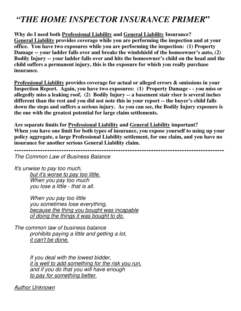# *"THE HOME INSPECTOR INSURANCE PRIMER***"**

**Why do I need both Professional Liability and General Liability Insurance? General Liability provides coverage while you are performing the inspection and at your office. You have two exposures while you are performing the inspection: (1) Property Damage -- your ladder falls over and breaks the windshield of the homeowner's auto, (2) Bodily Injury -- your ladder falls over and hits the homeowner's child on the head and the child suffers a permanent injury, this is the exposure for which you really purchase insurance.** 

**Professional Liability provides coverage for actual or alleged errors & omissions in your Inspection Report. Again, you have two exposures: (1) Property Damage - - you miss or allegedly miss a leaking roof, (2) Bodily Injury -- a basement stair riser is several inches different than the rest and you did not note this in your report -- the buyer's child falls down the steps and suffers a serious injury. As you can see, the Bodily Injury exposure is the one with the greatest potential for large claim settlements.** 

**Are separate limits for Professional Liability and General Liability important?**  When you have one limit for both types of insurance, you expose yourself to using up your **policy aggregate, a large Professional Liability settlement, for one claim, and you have no insurance for another serious General Liability claim.** 

**-----------------------------------------------------------------------------------------** 

The Common Law of Business Balance

It's unwise to pay too much, but it's worse to pay too little. When you pay too much you lose a little - that is all.

> When you pay too little you sometimes lose everything, because the thing you bought was incapable of doing the things it was bought to do.

The common law of business balance prohibits paying a little and getting a lot, it can't be done.

> If you deal with the lowest bidder, it is well to add something for the risk you run, and if you do that you will have enough to pay for something better.

Author Unknown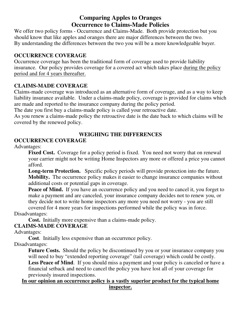## **Comparing Apples to Oranges Occurrence to Claims-Made Policies**

We offer two policy forms - Occurrence and Claims-Made. Both provide protection but you should know that like apples and oranges there are major differences between the two. By understanding the differences between the two you will be a more knowledgeable buyer.

#### **OCCURRENCE COVERAGE**

Occurrence coverage has been the traditional form of coverage used to provide liability insurance. Our policy provides coverage for a covered act which takes place during the policy period and for 4 years thereafter.

#### **CLAIMS-MADE COVERAGE**

Claims-made coverage was introduced as an alternative form of coverage, and as a way to keep liability insurance available. Under a claims-made policy, coverage is provided for claims which are made and reported to the insurance company during the policy period.

The date you first buy a claims-made policy is called your retroactive date.

As you renew a claims-made policy the retroactive date is the date back to which claims will be covered by the renewed policy.

### **WEIGHING THE DIFFERENCES**

#### **OCCURRENCE COVERAGE**

Advantages:

**Fixed Cost.** Coverage for a policy period is fixed. You need not worry that on renewal your carrier might not be writing Home Inspectors any more or offered a price you cannot afford.

**Long-term Protection.** Specific policy periods will provide protection into the future. **Mobility.** The occurrence policy makes it easier to change insurance companies without additional costs or potential gaps in coverage.

**Peace of Mind.** If you have an occurrence policy and you need to cancel it, you forget to make a payment and are canceled, your insurance company decides not to renew you, or they decide not to write home inspectors any more you need not worry - you are still

covered for 4 more years for inspections performed while the policy was in force. Disadvantages:

**Cost.** Initially more expensive than a claims-made policy.

#### **CLAIMS-MADE COVERAGE**

Advantages:

**Cost**. Initially less expensive than an occurrence policy.

Disadvantages:

Future Costs. Should the policy be discontinued by you or your insurance company you will need to buy "extended reporting coverage" (tail coverage) which could be costly. Less Peace of Mind. If you should miss a payment and your policy is canceled or have a financial setback and need to cancel the policy you have lost all of your coverage for previously insured inspections.

#### **In our opinion an occurrence policy is a vastly superior product for the typical home inspector.**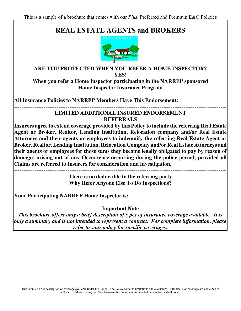# **REAL ESTATE AGENTS and BROKERS**



## **ARE YOU PROTECTED WHEN YOU REFER A HOME INSPECTOR? YES!**

**When you refer a Home Inspector participating in the NARREP sponsored Home Inspector Insurance Program** 

**All Insurance Policies to NARREP Members Have This Endorsement:** 

**-------------------------------------------------------------------------------------------------------------------** 

#### **LIMITED ADDITIONAL INSURED ENDORSEMENT REFERRALS**

**Insurers agree to extend coverage provided by this Policy to include the referring Real Estate Agent or Broker, Realtor, Lending Institution, Relocation company and/or Real Estate Attorneys and their agents or employees to indemnify the referring Real Estate Agent or Broker, Realtor, Lending Institution, Relocation Company and/or Real Estate Attorneys and their agents or employees for those sums they become legally obligated to pay by reason of damages arising out of any Occurrence occurring during the policy period, provided all Claims are referred to Insurers for consideration and investigation.** 

**-------------------------------------------------------------------------------------------------------------------** 

**There is no deductible to the referring party Why Refer Anyone Else To Do Inspections?** 

**Your Participating NARREP Home Inspector is:** 

**Important Note** 

*This brochure offers only a brief description of types of insurance coverage available. It is only a summary and is not intended to represent a contract. For complete information, please refer to your policy for specific coverages.*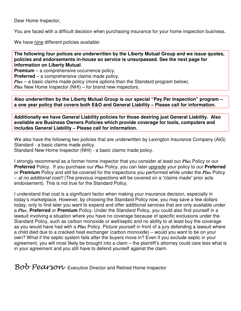Dear Home Inspector,

You are faced with a difficult decision when purchasing insurance for your home inspection business.

We have nine different policies available:

**The following four polices are underwritten by the Liberty Mutual Group and we issue quotes, policies and endorsements in-house so service is unsurpassed. See the next page for information on Liberty Mutual**.

**Premium** – a comprehensive occurrence policy.

**Preferred** – a comprehensive claims made policy.

*Plus* – a basic claims made policy (more options than the Standard program below). *Plus* New Home Inspector (NHI) – for brand new inspectors.

**Also underwritten by the Liberty Mutual Group is our special "Pay Per Inspection" program – a one year policy that covers both E&O and General Liability – Please call for information.** 

**Additionally we have General Liability policies for those desiring just General Liability. Also available are Business Owners Policies which provide coverage for tools, computers and includes General Liability – Please call for information.** 

We also have the following two policies that are underwritten by Lexington Insurance Company (AIG) Standard - a basic claims made policy. Standard New Home Inspector (NHI) - a basic claims made policy.

I strongly recommend as a former home inspector that you consider at least our *Plus* Policy or our **Preferred** Policy. If you purchase our *Plus* Policy, you can later upgrade your policy to our **Preferred**  or **Premium** Policy and still be covered for the inspections you performed while under the *Plus* Policy – at no additional cost!! (The previous inspections will be covered on a "claims made" prior acts endorsement). This is not true for the Standard Policy.

I understand that cost is a significant factor when making your insurance decision, especially in today's marketplace. However, by choosing the Standard Policy now, you may save a few dollars today, only to find later you want to expand and offer additional services that are only available under a *Plus*, **Preferred** or **Premium** Policy. Under the Standard Policy, you could also find yourself in a lawsuit involving a situation where you have no coverage because of specific exclusions under the Standard Policy, such as carbon monoxide or well/septic and no ability to at least buy the coverage as you would have had with a *Plus* Policy. Picture yourself in front of a jury defending a lawsuit where a child died due to a cracked heat exchanger (carbon monoxide) – would you want to be on your own? What if the septic system fails after the buyers move in? Even if you exclude septic in your agreement, you will most likely be brought into a claim – the plaintiff's attorney could care less what is in your agreement and you still have to defend yourself against the claim.

 $Bob$   $Peavisow$  Executive Director and Retired Home Inspector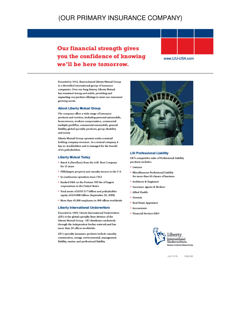## (OUR PRIMARY INSURANCE COMPANY)

**Our financial strength gives** you the confidence of knowing we'll be here tomorrow.



www.LIU-USA.com

Founded in 1912, Boston-based Liberty Mutual Group is a diversified international group of insurance companies. Over our long history, Liberty Mutual has remained strong and stable, providing and expanding our product offerings to meet our customers' growing needs.

#### **About Liberty Mutual Group**

The company offers a wide range of insurance products and services, including personal automobile, homeowners, workers compensation, commercial multiple peril/fire, commercial automobile, general liability, global specialty products, group disability and surety.

Liberty Mutual Group operates under a mutual holding company structure. As a mutual company, it has no stockholders and is managed for the benefit of its policyholders.

#### **Liberty Mutual Today**

- . Rated A (Excellent) from the A.M. Best Company for 13 years
- · Fifth-largest property and casualty insurer in the U.S.
- In continuous operation since 1912
- . Ranked 94th on the Fortune 500 list of largest corporations in the United States
- · Total assets of \$105.517 billion and policyholder equity of \$10.808 billion (September 30, 2008)
- · More than 45,000 employees in 900 offices worldwide

#### **Liberty International Underwriters**

Founded in 1999, Liberty International Underwriters (LIU) is the global specialty lines division of the Liberty Mutual Group. LIU distributes exclusively through the independent broker network and has more than 30 offices worldwide.

LIU's specialty insurance products include casualty, construction, energy, environmental, management liability, marine and professional liability.



#### **LIU Professional Liability**

LIU's competitive suite of Professional Liability products includes:

- Lawyers
- · Miscellaneous Professional Liability for more than 60 classes of business
- · Architects & Engineers
- · Insurance Agents & Brokers
- · Allied Health
- · Dentists
- · Real Estate Appraisers
- · Accountants
- · Financial Services E&O

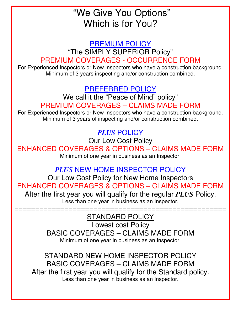# "We Give You Options" Which is for You?

PREMIUM POLICY "The SIMPLY SUPERIOR Policy" PREMIUM COVERAGES - OCCURRENCE FORM

For Experienced Inspectors or New Inspectors who have a construction background. Minimum of 3 years inspecting and/or construction combined.

# PREFERRED POLICY

We call it the "Peace of Mind" policy" PREMIUM COVERAGES – CLAIMS MADE FORM

For Experienced Inspectors or New Inspectors who have a construction background. Minimum of 3 years of inspecting and/or construction combined.

# *PLUS* POLICY

Our Low Cost Policy

ENHANCED COVERAGES & OPTIONS – CLAIMS MADE FORM Minimum of one year in business as an Inspector.

*PLUS* NEW HOME INSPECTOR POLICY

Our Low Cost Policy for New Home Inspectors ENHANCED COVERAGES & OPTIONS – CLAIMS MADE FORM

After the first year you will qualify for the regular *PLUS* Policy. Less than one year in business as an Inspector.

## =================================================== STANDARD POLICY

Lowest cost Policy BASIC COVERAGES – CLAIMS MADE FORM Minimum of one year in business as an Inspector.

STANDARD NEW HOME INSPECTOR POLICY BASIC COVERAGES – CLAIMS MADE FORM After the first year you will qualify for the Standard policy. Less than one year in business as an Inspector.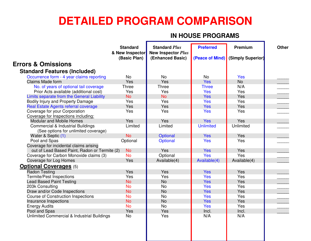# **DETAILED PROGRAM COMPARISON**

## **IN HOUSE PROGRAMS**

|                                               | <b>Standard</b><br>& New Inspector<br>(Basic Plan) | <b>Standard Plus</b><br><b>New Inspector Plus</b><br>(Enhanced Basic) | <b>Preferred</b><br>(Peace of Mind) | Premium<br>(Simply Superior) | <b>Other</b> |
|-----------------------------------------------|----------------------------------------------------|-----------------------------------------------------------------------|-------------------------------------|------------------------------|--------------|
| <b>Errors &amp; Omissions</b>                 |                                                    |                                                                       |                                     |                              |              |
| <b>Standard Features (Included)</b>           |                                                    |                                                                       |                                     |                              |              |
| Occurrence form - 4 year claims reporting     | <b>No</b>                                          | <b>No</b>                                                             | <b>No</b>                           | <b>Yes</b>                   |              |
| <b>Claims Made form</b>                       | Yes                                                | Yes                                                                   | <b>Yes</b>                          | <b>No</b>                    |              |
| No. of years of optional tail coverage        | <b>Three</b>                                       | <b>Three</b>                                                          | <b>Three</b>                        | N/A                          |              |
| Prior Acts available (additional cost)        | <b>Yes</b>                                         | Yes                                                                   | <b>Yes</b>                          | Yes                          |              |
| Limits separate from the General Liability    | <b>No</b>                                          | <b>No</b>                                                             | <b>Yes</b>                          | Yes                          |              |
| <b>Bodily Injury and Property Damage</b>      | Yes                                                | Yes                                                                   | <b>Yes</b>                          | Yes                          |              |
| Real Estate Agents referral coverage          | Yes                                                | Yes                                                                   | <b>Yes</b>                          | Yes                          |              |
| Coverage for your Corporation                 | Yes                                                | Yes                                                                   | <b>Yes</b>                          | Yes                          |              |
| Coverage for Inspections including:           |                                                    |                                                                       |                                     |                              |              |
| <b>Modular and Mobile Homes</b>               | <b>Yes</b>                                         | Yes                                                                   | <b>Yes</b>                          | Yes                          |              |
| <b>Commercial &amp; Industrial Buildings</b>  | Limited                                            | Limited                                                               | <b>Unlimited</b>                    | Unlimited                    |              |
| (See options for unlimited coverage)          |                                                    |                                                                       |                                     |                              |              |
| Water & Septic (1)                            | <b>No</b>                                          | Optional                                                              | <b>Yes</b>                          | Yes                          |              |
| Pool and Spas                                 | Optional                                           | Optional                                                              | <b>Yes</b>                          | Yes                          |              |
| Coverage for incidental claims arising        |                                                    |                                                                       |                                     |                              |              |
| out of Lead Based Paint, Radon or Termite (2) | <b>No</b>                                          | Yes                                                                   | <b>Yes</b>                          | Yes                          |              |
| Coverage for Carbon Monoxide claims (3)       | <b>No</b>                                          | Optional                                                              | <b>Yes</b>                          | Yes                          |              |
| Coverage for Log Homes                        | Yes                                                | Available(4)                                                          | Available(4)                        | Available(4)                 |              |
| <b>Optional Coverages (5)</b>                 |                                                    |                                                                       |                                     |                              |              |
| <b>Radon Testing</b>                          | Yes                                                | Yes                                                                   | <b>Yes</b>                          | Yes                          |              |
| <b>Termite/Pest Inspections</b>               | Yes                                                | Yes                                                                   | <b>Yes</b>                          | Yes                          |              |
| <b>Lead Based Paint Testing</b>               | <b>No</b>                                          | <b>No</b>                                                             | <b>Yes</b>                          | Yes                          |              |
| 203k Consulting                               | <b>No</b>                                          | <b>No</b>                                                             | <b>Yes</b>                          | Yes                          |              |
| Draw and/or Code Inspections                  | <b>No</b>                                          | <b>No</b>                                                             | Yes                                 | Yes                          |              |
| <b>Course of Construction Inspections</b>     | <b>No</b>                                          | <b>No</b>                                                             | <b>Yes</b>                          | Yes                          |              |
| Insurance Inspections                         | <b>No</b>                                          | <b>No</b>                                                             | <b>Yes</b>                          | Yes                          |              |
| <b>Energy Audits</b>                          | <b>No</b>                                          | <b>No</b>                                                             | <b>Yes</b>                          | Yes                          |              |
| Pool and Spas                                 | Yes                                                | Yes                                                                   | Incl.                               | Incl.                        |              |
| Unlimited Commercial & Industrial Buildings   | <b>No</b>                                          | Yes                                                                   | N/A                                 | N/A                          |              |
|                                               |                                                    |                                                                       |                                     |                              |              |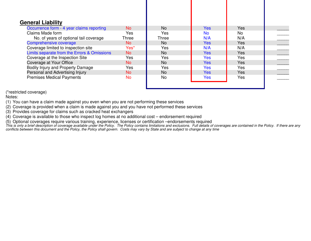| <b>General Liability</b><br>Occurrence form - 4 year claims reporting | No.   | <b>No</b> | <b>Yes</b> | <b>Yes</b> |  |
|-----------------------------------------------------------------------|-------|-----------|------------|------------|--|
| Claims Made form                                                      | Yes   | Yes       | <b>No</b>  | No         |  |
| No. of years of optional tail coverage                                | Three | Three     | N/A        | N/A        |  |
| Comprehensive coverage                                                | No.   | <b>No</b> | <b>Yes</b> | Yes        |  |
| Coverage limited to inspection site                                   | Yes*  | Yes       | N/A        | N/A        |  |
| Limits separate from the Errors & Omissions                           | No    | <b>No</b> | <b>Yes</b> | Yes        |  |
| Coverage at the Inspection Site                                       | Yes   | Yes       | <b>Yes</b> | Yes        |  |
| Coverage at Your Office                                               | No    | <b>No</b> | <b>Yes</b> | Yes        |  |
| Bodily Injury and Property Damage                                     | Yes   | Yes       | <b>Yes</b> | Yes        |  |
| Personal and Advertising Injury                                       | No    | <b>No</b> | <b>Yes</b> | Yes        |  |
| <b>Premises Medical Payments</b>                                      | No    | <b>No</b> | <b>Yes</b> | Yes        |  |

(\*restricted coverage)

Notes:

(1) You can have a claim made against you even when you are not performing these services

(2) Coverage is provided when a claim is made against you and you have not performed these services

(3) Provides coverage for claims such as cracked heat exchangers

(4) Coverage is available to those who inspect log homes at no additional cost – endorsement required

(5) Optional coverages require various training, experience, licenses or certification –endorsements required<br>This is only a brief description of coverage available under the Policy. The Policy contains limitations and exc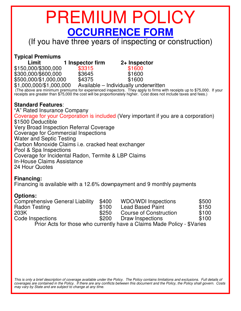# PREMIUM POLICY **OCCURRENCE FORM**

(If you have three years of inspecting or construction)

### **Typical Premiums**

| Limit                   | 1 Inspector firm | 2+ Inspector                          |
|-------------------------|------------------|---------------------------------------|
| \$150,000/\$300,000     | \$3315           | \$1600                                |
| \$300,000/\$600,000     | \$3645           | \$1600                                |
| \$500,000/\$1,000,000   | \$4375           | \$1600                                |
| \$1,000,000/\$1,000,000 |                  | Available – Individually underwritten |

 (The above are minimum premiums for experienced inspectors. They apply to firms with receipts up to \$75,000. If your receipts are greater than \$75,000 the cost will be proportionately higher. Cost does not include taxes and fees.)

#### **Standard Features**:

"A" Rated Insurance Company Coverage for your Corporation is included (Very important if you are a corporation) \$1500 Deductible Very Broad Inspection Referral Coverage Coverage for Commercial Inspections Water and Septic Testing Carbon Monoxide Claims i.e. cracked heat exchanger Pool & Spa Inspections Coverage for Incidental Radon, Termite & LBP Claims In-House Claims Assistance 24 Hour Quotes

#### **Financing:**

Financing is available with a 12.6% downpayment and 9 monthly payments

#### **Options:**

| <b>Comprehensive General Liability</b> | \$400 | <b>WDO/WDI Inspections</b>                                              | \$500 |
|----------------------------------------|-------|-------------------------------------------------------------------------|-------|
| <b>Radon Testing</b>                   | \$100 | <b>Lead Based Paint</b>                                                 | \$150 |
| 203K                                   | \$250 | Course of Construction                                                  | \$100 |
| Code Inspections                       | \$200 | Draw Inspections                                                        | \$100 |
|                                        |       | Prior Acts for those who currently have a Claims Made Policy - \$Varies |       |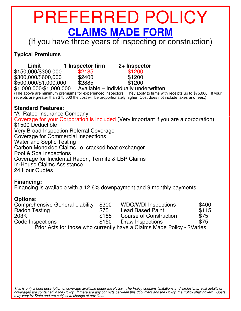# PREFERRED POLICY **CLAIMS MADE FORM** (If you have three years of inspecting or construction)

## **Typical Premiums**

| Limit                   | 1 Inspector firm | 2+ Inspector                                                                                                                                                                                                                                |  |
|-------------------------|------------------|---------------------------------------------------------------------------------------------------------------------------------------------------------------------------------------------------------------------------------------------|--|
| \$150,000/\$300,000     | \$2185           | \$1200                                                                                                                                                                                                                                      |  |
| \$300,000/\$600,000     | \$2400           | \$1200                                                                                                                                                                                                                                      |  |
| \$500,000/\$1,000,000   | \$2885           | \$1200                                                                                                                                                                                                                                      |  |
| \$1,000,000/\$1,000,000 |                  | Available – Individually underwritten                                                                                                                                                                                                       |  |
|                         |                  | (The above are minimum premiums for experienced inspectors. They apply to firms with receipts up to \$75,000. If your<br>receipts are greater than \$75,000 the cost will be proportionately higher. Cost does not include taxes and fees.) |  |

### **Standard Features**:

"A" Rated Insurance Company Coverage for your Corporation is included (Very important if you are a corporation) \$1500 Deductible Very Broad Inspection Referral Coverage Coverage for Commercial Inspections Water and Septic Testing Carbon Monoxide Claims i.e. cracked heat exchanger Pool & Spa Inspections Coverage for Incidental Radon, Termite & LBP Claims In-House Claims Assistance 24 Hour Quotes

#### **Financing:**

Financing is available with a 12.6% downpayment and 9 monthly payments

#### **Options:**

| <b>Comprehensive General Liability</b> | \$300 | <b>WDO/WDI Inspections</b>                                              | \$400 |
|----------------------------------------|-------|-------------------------------------------------------------------------|-------|
| <b>Radon Testing</b>                   | \$75  | <b>Lead Based Paint</b>                                                 | \$115 |
| 203K                                   | \$185 | Course of Construction                                                  | \$75  |
| Code Inspections                       | \$150 | Draw Inspections                                                        | \$75  |
|                                        |       | Prior Acts for those who currently have a Claims Made Policy - \$Varies |       |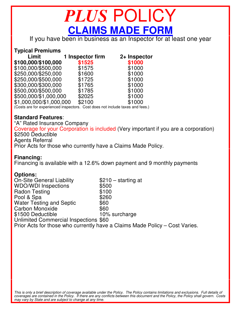# *PLUS* POLICY **CLAIMS MADE FORM**

If you have been in business as an Inspector for at least one year

#### **Typical Premiums**

| <b>Limit</b>                                                                  | 1 Inspector firm | 2+ Inspector |
|-------------------------------------------------------------------------------|------------------|--------------|
| \$100,000/\$100,000                                                           | \$1525           | \$1000       |
| \$100,000/\$500,000                                                           | \$1575           | \$1000       |
| \$250,000/\$250,000                                                           | \$1600           | \$1000       |
| \$250,000/\$500,000                                                           | \$1725           | \$1000       |
| \$300,000/\$300,000                                                           | \$1765           | \$1000       |
| \$500,000/\$500,000                                                           | \$1785           | \$1000       |
| \$500,000/\$1,000,000                                                         | \$2025           | \$1000       |
| \$1,000,000/\$1,000,000                                                       | \$2100           | \$1000       |
| (Costs are for experienced inspectors. Cost does not include taxes and fees.) |                  |              |

#### **Standard Features**:

"A" Rated Insurance Company Coverage for your Corporation is included (Very important if you are a corporation) \$2500 Deductible Agents Referral Prior Acts for those who currently have a Claims Made Policy.

#### **Financing:**

Financing is available with a 12.6% down payment and 9 monthly payments

#### **Options:**

On-Site General Liability **\$210** – starting at WDO/WDI Inspections \$500 Radon Testing \$100 Pool & Spa  $$260$ Water Testing and Septic \$60 Carbon Monoxide \$60 \$1500 Deductible 10% surcharge Unlimited Commercial Inspections \$60 Prior Acts for those who currently have a Claims Made Policy – Cost Varies.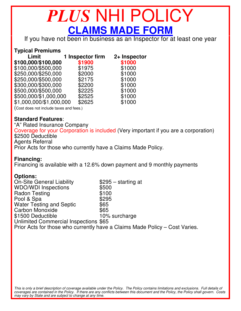# *PLUS* NHI POLICY **CLAIMS MADE FORM**

If you have not been in business as an Inspector for at least one year

#### **Typical Premiums**

| Limit                                   | 1 Inspector firm | 2+ Inspector |
|-----------------------------------------|------------------|--------------|
| \$100,000/\$100,000                     | \$1900           | \$1000       |
| \$100,000/\$500,000                     | \$1975           | \$1000       |
| \$250,000/\$250,000                     | \$2000           | \$1000       |
| \$250,000/\$500,000                     | \$2175           | \$1000       |
| \$300,000/\$300,000                     | \$2200           | \$1000       |
| \$500,000/\$500,000                     | \$2225           | \$1000       |
| \$500,000/\$1,000,000                   | \$2525           | \$1000       |
| \$1,000,000/\$1,000,000                 | \$2625           | \$1000       |
| (Cost does not include taxes and fees.) |                  |              |

#### **Standard Features**:

"A" Rated Insurance Company Coverage for your Corporation is included (Very important if you are a corporation) \$2500 Deductible Agents Referral Prior Acts for those who currently have a Claims Made Policy.

#### **Financing:**

Financing is available with a 12.6% down payment and 9 monthly payments

#### **Options:**

On-Site General Liability  $$295 - starting at  
WDO/WDI Insjections $500$ WDO/WDI Inspections Radon Testing \$100 Pool & Spa Water Testing and Septic  $\frac{$65}{65}$ <br>Carbon Monoxide \$65 Carbon Monoxide<br>
\$1500 Deductible<br>
\$1500 Deductible<br>
\$1500 Deductible \$1500 Deductible Unlimited Commercial Inspections \$65 Prior Acts for those who currently have a Claims Made Policy – Cost Varies.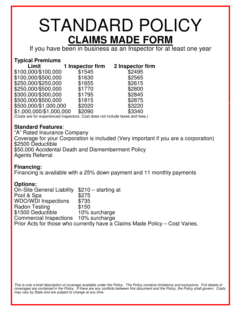# STANDARD POLICY **CLAIMS MADE FORM**

If you have been in business as an Inspector for at least one year

## **Typical Premiums**

| Limit                   | 1 Inspector firm | 2 Inspector firm |
|-------------------------|------------------|------------------|
| \$100,000/\$100,000     | \$1545           | \$2495           |
| \$100,000/\$500,000     | \$1630           | \$2565           |
| \$250,000/\$250,000     | \$1655           | \$2615           |
| \$250,000/\$500,000     | \$1770           | \$2800           |
| \$300,000/\$300,000     | \$1795           | \$2845           |
| \$500,000/\$500,000     | \$1815           | \$2875           |
| \$500,000/\$1,000,000   | \$2020           | \$3220           |
| \$1,000,000/\$1,000,000 | \$2090           | \$3340           |
|                         |                  |                  |

(Costs are for experienced inspectors. Cost does not include taxes and fees.)

### **Standard Features**:

"A" Rated Insurance Company Coverage for your Corporation is included (Very important if you are a corporation) \$2500 Deductible \$50,000 Accidental Death and Dismemberment Policy Agents Referral

#### **Financing:**

Financing is available with a 25% down payment and 11 monthly payments

#### **Options:**

On-Site General Liability \$210 – starting at Pool & Spa<br>WDO/WDI Inspections \$735 WDO/WDI Inspections Radon Testing \$150 \$1500 Deductible 10% surcharge Commercial Inspections 10% surcharge Prior Acts for those who currently have a Claims Made Policy – Cost Varies.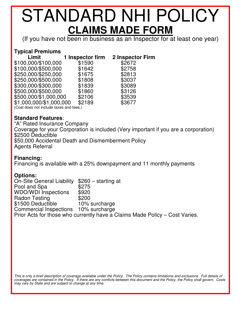# STANDARD NHI POLICY **CLAIMS MADE FORM**

(If you have not been in business as an Inspector for at least one year)

### **Typical Premiums**

| Limit                                   | 1 Inspector firm | <b>2 Inspector Firm</b> |
|-----------------------------------------|------------------|-------------------------|
| \$100,000/\$100,000                     | \$1590           | \$2672                  |
| \$100,000/\$500,000                     | \$1642           | \$2758                  |
| \$250,000/\$250,000                     | \$1675           | \$2813                  |
| \$250,000/\$500,000                     | \$1808           | \$3037                  |
| \$300,000/\$300,000                     | \$1839           | \$3089                  |
| \$500,000/\$500,000                     | \$1860           | \$3126                  |
| \$500,000/\$1,000,000                   | \$2106           | \$3539                  |
| \$1,000,000/\$1,000,000                 | \$2189           | \$3677                  |
| (Cost does not include taxes and fees.) |                  |                         |

#### **Standard Features**:

"A" Rated Insurance Company Coverage for your Corporation is included (Very important if you are a corporation) \$2500 Deductible \$50,000 Accidental Death and Dismemberment Policy Agents Referral

#### **Financing:**

Financing is available with a 25% downpayment and 11 monthly payments

#### **Options:**

On-Site General Liability \$260 – starting at Pool and Spa \$275<br>WDO/WDI Inspections \$920 WDO/WDI Inspections Radon Testing \$200 \$1500 Deductible 10% surcharge Commercial Inspections 10% surcharge Prior Acts for those who currently have a Claims Made Policy – Cost Varies.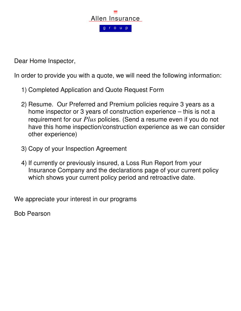

Dear Home Inspector,

In order to provide you with a quote, we will need the following information:

- 1) Completed Application and Quote Request Form
- 2) Resume. Our Preferred and Premium policies require 3 years as a home inspector or 3 years of construction experience – this is not a requirement for our *Plus* policies. (Send a resume even if you do not have this home inspection/construction experience as we can consider other experience)
- 3) Copy of your Inspection Agreement
- 4) If currently or previously insured, a Loss Run Report from your Insurance Company and the declarations page of your current policy which shows your current policy period and retroactive date.

We appreciate your interest in our programs

Bob Pearson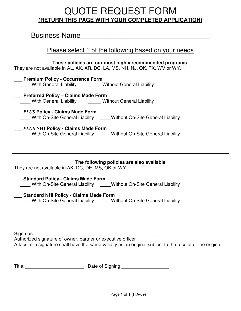# QUOTE REQUEST FORM **(RETURN THIS PAGE WITH YOUR COMPLETED APPLICATION)**

## Business Name\_\_\_\_\_\_\_\_\_\_\_\_\_\_\_\_\_\_\_\_\_\_\_\_\_\_\_\_\_\_\_\_\_

### Please select 1 of the following based on your needs

| These policies are our most highly recommended programs.<br>They are not available in AL, AK, AR, DC, LA, MS, NH, NJ, OK, TX, WV or WY. |  |  |  |  |
|-----------------------------------------------------------------------------------------------------------------------------------------|--|--|--|--|
| <b>Premium Policy - Occurrence Form</b><br>With General Liability <b>Concret Contains University</b> Without General Liability          |  |  |  |  |
| <b>Preferred Policy - Claims Made Form</b><br>With General Liability <b>Concret Contains University</b> Without General Liability       |  |  |  |  |
| <b>PLUS Policy - Claims Made Form</b><br>With On-Site General Liability Mithout On-Site General Liability                               |  |  |  |  |
| PLUS NHI Policy - Claims Made Form<br>With On-Site General Liability _____Without On-Site General Liability                             |  |  |  |  |
|                                                                                                                                         |  |  |  |  |
| The following policies are also available<br>They are not available in AK, DC, DE, MS, OK or WY.                                        |  |  |  |  |
| <b>Standard Policy - Claims Made Form</b><br>With On-Site General Liability Mithout On-Site General Liability                           |  |  |  |  |
| <b>Standard NHI Policy - Claims Made Form</b><br>With On-Site General Liability Without On-Site General Liability                       |  |  |  |  |

Signature: \_\_\_\_\_\_\_\_\_\_\_\_\_\_\_\_\_\_\_\_\_\_\_\_\_\_\_\_\_\_\_\_\_\_\_\_\_\_\_\_\_\_\_\_\_\_\_\_\_\_\_

Authorized signature of owner, partner or executive officer A facsimile signature shall have the same validity as an original subject to the receipt of the original.

Title: \_\_\_\_\_\_\_\_\_\_\_\_\_\_\_\_\_\_\_\_\_\_ Date of Signing:\_\_\_\_\_\_\_\_\_\_\_\_\_\_\_\_\_\_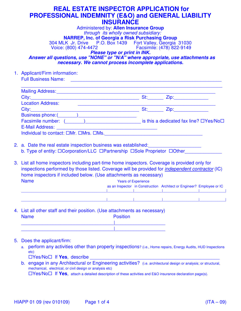### **REAL ESTATE INSPECTOR APPLICATION for PROFESSIONAL INDEMNITY (E&O) and GENERAL LIABILITY INSURANCE**

Administered by: **Allen Insurance Group** through its wholly owned subsidiary: **NARREP, Inc. of Georgia a Risk Purchasing Group** 304 MLK Jr. Drive P.O. Box 1439 Fort Valley, Georgia 31030 Facsimile: (478) 822-9149

**Please type or print in INK.** 

 **Answer all questions, use "NONE" or "N/A" where appropriate, use attachments as necessary. We cannot process incomplete applications.**

1. Applicant/Firm information: Full Business Name:

| <b>Mailing Address:</b> Mailing Address:                                                                                                                                                                                       |     |                                                    |
|--------------------------------------------------------------------------------------------------------------------------------------------------------------------------------------------------------------------------------|-----|----------------------------------------------------|
|                                                                                                                                                                                                                                | St: | <u>Zip: ____________</u>                           |
| <b>Location Address:</b>                                                                                                                                                                                                       |     |                                                    |
|                                                                                                                                                                                                                                | St: | <b>Zip:______________</b>                          |
| Business phone: (a) and a set of the set of the set of the set of the set of the set of the set of the set of the set of the set of the set of the set of the set of the set of the set of the set of the set of the set of th |     |                                                    |
| Facsimile number: (intervals)                                                                                                                                                                                                  |     | is this a dedicated fax line? $\Box$ Yes/No $\Box$ |
| E-Mail Address: Entrancement of the state of the state of the state of the state of the state of the state of the state of the state of the state of the state of the state of the state of the state of the state of the stat |     |                                                    |
| Individual to contact: $\square Mr. \square Mrs. \square Ms.$                                                                                                                                                                  |     |                                                    |

- 2. a. Date the real estate inspection business was established:
	- b. Type of entity:  $\Box$ Corporation/LLC  $\Box$  Partnership  $\Box$  Sole Proprietor  $\Box$  Other

3. List all home inspectors including part-time home inspectors. Coverage is provided only for inspections performed by those listed. Coverage will be provided for independent contractor (IC) home inspectors if included below. (Use attachments as necessary) Name Years of Experience as an Inspector in Construction Architect or Engineer? Employee or IC

| 1. List all other staff and their position. (Use attachments as necessary) |  |  |
|----------------------------------------------------------------------------|--|--|

| <b>Name</b> | 4. List all other staff and their position. (Use attachments as necessary) | <b>Position</b> |
|-------------|----------------------------------------------------------------------------|-----------------|
|             |                                                                            |                 |
|             |                                                                            |                 |

#### 5. Does the applicant/firm:

a. perform any activities other than property inspections? (i.e., Home repairs, Energy Audits, HUD Inspections etc)

□Yes/No□ If Yes, describe

b. engage in any Architectural or Engineering activities? (i.e. architectural design or analysis; or structural, mechanical, electrical, or civil design or analysis etc)

Yes/No If **Yes**, attach a detailed description of these activities and E&O insurance declaration page(s).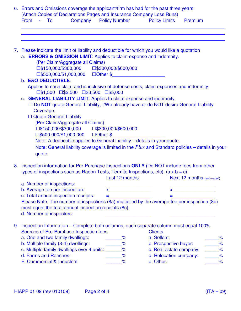| (Attach Copies of Declarations Pages and Insurance Company Loss Runs)<br>From<br>- To |                           |                                         | <b>Company Policy Number Policy Limits</b>                                                                                                                                                                                           |                                                   | Premium                                                                                                                                                                                                                       |
|---------------------------------------------------------------------------------------|---------------------------|-----------------------------------------|--------------------------------------------------------------------------------------------------------------------------------------------------------------------------------------------------------------------------------------|---------------------------------------------------|-------------------------------------------------------------------------------------------------------------------------------------------------------------------------------------------------------------------------------|
|                                                                                       |                           |                                         |                                                                                                                                                                                                                                      |                                                   |                                                                                                                                                                                                                               |
|                                                                                       |                           |                                         | 7. Please indicate the limit of liability and deductible for which you would like a quotation<br>a. ERRORS & OMISSION LIMIT: Applies to claim expense and indemnity.                                                                 |                                                   |                                                                                                                                                                                                                               |
|                                                                                       |                           | (Per Claim/Aggregate all Claims)        |                                                                                                                                                                                                                                      |                                                   |                                                                                                                                                                                                                               |
|                                                                                       |                           |                                         | $\Box$ \$150,000/\$300,000 $\Box$ \$300,000/\$600,000                                                                                                                                                                                |                                                   |                                                                                                                                                                                                                               |
|                                                                                       |                           |                                         | □\$500,000/\$1,000,000 □Other \$                                                                                                                                                                                                     |                                                   |                                                                                                                                                                                                                               |
| b. E&O DEDUCTIBLE:                                                                    |                           |                                         |                                                                                                                                                                                                                                      |                                                   |                                                                                                                                                                                                                               |
|                                                                                       |                           |                                         | Applies to each claim and is inclusive of defense costs, claim expenses and indemnity.                                                                                                                                               |                                                   |                                                                                                                                                                                                                               |
|                                                                                       |                           |                                         | $\Box$ \$1,500 $\Box$ \$2,500 $\Box$ \$3,500 $\Box$ \$5,000                                                                                                                                                                          |                                                   |                                                                                                                                                                                                                               |
|                                                                                       |                           |                                         | c. <b>GENERAL LIABILITY LIMIT:</b> Applies to claim expense and indemnity.                                                                                                                                                           |                                                   |                                                                                                                                                                                                                               |
|                                                                                       |                           |                                         | □ Do NOT quote General Liability, I/We already have or do NOT desire General Liability                                                                                                                                               |                                                   |                                                                                                                                                                                                                               |
| Coverage.                                                                             |                           |                                         |                                                                                                                                                                                                                                      |                                                   |                                                                                                                                                                                                                               |
|                                                                                       | □ Quote General Liability |                                         |                                                                                                                                                                                                                                      |                                                   |                                                                                                                                                                                                                               |
|                                                                                       |                           |                                         |                                                                                                                                                                                                                                      |                                                   |                                                                                                                                                                                                                               |
|                                                                                       |                           | (Per Claim/Aggregate all Claims)        |                                                                                                                                                                                                                                      |                                                   |                                                                                                                                                                                                                               |
|                                                                                       |                           |                                         | $\Box$ \$150,000/\$300,000 $\Box$ \$300,000/\$600,000                                                                                                                                                                                |                                                   |                                                                                                                                                                                                                               |
|                                                                                       |                           |                                         | $\Box$ \$500,000/\$1,000,000 $\Box$ Other \$                                                                                                                                                                                         |                                                   |                                                                                                                                                                                                                               |
|                                                                                       |                           |                                         | Note: A deductible applies to General Liability - details in your quote.                                                                                                                                                             |                                                   |                                                                                                                                                                                                                               |
|                                                                                       |                           |                                         | Note: General liability coverage is limited in the $Plus$ and Standard policies – details in your                                                                                                                                    |                                                   |                                                                                                                                                                                                                               |
| quote.                                                                                |                           |                                         |                                                                                                                                                                                                                                      |                                                   |                                                                                                                                                                                                                               |
|                                                                                       |                           |                                         |                                                                                                                                                                                                                                      |                                                   |                                                                                                                                                                                                                               |
|                                                                                       |                           |                                         | 8. Inspection information for Pre-Purchase Inspections ONLY (Do NOT include fees from other                                                                                                                                          |                                                   |                                                                                                                                                                                                                               |
|                                                                                       |                           |                                         | types of inspections such as Radon Tests, Termite Inspections, etc). $(a \times b = c)$                                                                                                                                              |                                                   |                                                                                                                                                                                                                               |
|                                                                                       |                           |                                         | <b>Example 12 Figure 2 In the UP 12 Figure 2 In the UP 12 Figure 2 In the UP 12 In the UP 12 In the UP 12 In the UP 12 In the UP 12 In the UP 12 In the UP 12 In the UP 12 In the UP 12 In the UP 12 In the UP 12 In the UP 12 I</b> |                                                   |                                                                                                                                                                                                                               |
| a. Number of inspections:                                                             |                           |                                         |                                                                                                                                                                                                                                      |                                                   |                                                                                                                                                                                                                               |
| b. Average fee per inspection:                                                        |                           |                                         | $x$ and $x$ and $x$ and $x$ and $x$ and $x$ and $x$ and $x$ and $x$ and $x$ and $x$ and $x$ and $x$ and $x$ and $x$ and $x$ and $x$ and $x$ and $x$ and $x$ and $x$ and $x$ and $x$ and $x$ and $x$ and $x$ and $x$ and $x$ a        |                                                   | $x$ and $x$ and $x$ and $x$ and $x$ and $x$ and $x$ and $x$ and $x$ and $x$ and $x$ and $x$ and $x$ and $x$ and $x$ and $x$ and $x$ and $x$ and $x$ and $x$ and $x$ and $x$ and $x$ and $x$ and $x$ and $x$ and $x$ and $x$ a |
|                                                                                       |                           | c. Total annual inspection receipts:    | $=$ $-$                                                                                                                                                                                                                              |                                                   | $\equiv$ 100 minutes of the state $\sim$                                                                                                                                                                                      |
|                                                                                       |                           |                                         | Please Note: The number of inspections (8a) multiplied by the average fee per inspection (8b)                                                                                                                                        |                                                   |                                                                                                                                                                                                                               |
|                                                                                       |                           |                                         | must equal the total annual inspection receipts (8c).                                                                                                                                                                                |                                                   |                                                                                                                                                                                                                               |
| d. Number of inspectors:                                                              |                           |                                         |                                                                                                                                                                                                                                      |                                                   |                                                                                                                                                                                                                               |
|                                                                                       |                           |                                         |                                                                                                                                                                                                                                      |                                                   |                                                                                                                                                                                                                               |
|                                                                                       |                           |                                         | 9. Inspection Information – Complete both columns, each separate column must equal 100%                                                                                                                                              |                                                   |                                                                                                                                                                                                                               |
|                                                                                       |                           | Sources of Pre-Purchase Inspection fees |                                                                                                                                                                                                                                      | <b>Clients</b>                                    |                                                                                                                                                                                                                               |
|                                                                                       |                           | a. One and two family dwellings:        | $\%$                                                                                                                                                                                                                                 | a. Sellers:                                       | $\frac{9}{6}$                                                                                                                                                                                                                 |
|                                                                                       |                           | b. Multiple family (3-4) dwellings:     | $\frac{1}{\sqrt{2}}$                                                                                                                                                                                                                 | b. Prospective buyer:                             | $\frac{9}{6}$                                                                                                                                                                                                                 |
| d. Farms and Ranches:                                                                 |                           |                                         | c. Multiple family dwellings over 4 units: _______%<br>$\frac{9}{6}$                                                                                                                                                                 | c. Real estate company:<br>d. Relocation company: | $\%$<br>$\frac{9}{6}$                                                                                                                                                                                                         |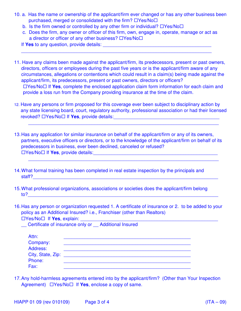- 10. a. Has the name or ownership of the applicant/firm ever changed or has any other business been purchased, merged or consolidated with the firm?  $\Box$ Yes/No $\Box$ 
	- b. Is the firm owned or controlled by any other firm or individual?  $\Box$  Yes/No $\Box$
	- c. Does the firm, any owner or officer of this firm, own, engage in, operate, manage or act as a director or officer of any other business?  $\Box$ Yes/No $\Box$

 $\mathcal{L}_\text{max}$  , and the contribution of the contribution of the contribution of the contribution of the contribution of the contribution of the contribution of the contribution of the contribution of the contribution of t

- If **Yes** to any question, provide details:
- 11. Have any claims been made against the applicant/firm, its predecessors, present or past owners, directors, officers or employees during the past five years or is the applicant/firm aware of any circumstances, allegations or contentions which could result in a claim(s) being made against the applicant/firm, its predecessors, present or past owners, directors or officers?  $\Box$ Yes/No $\Box$  If **Yes**, complete the enclosed application claim form information for each claim and provide a loss run from the Company providing insurance at the time of the claim.
- 12. Have any persons or firm proposed for this coverage ever been subject to disciplinary action by any state licensing board, court, regulatory authority, professional association or had their licensed revoked?  $\Box$  Yes/No  $\Box$  If **Yes**, provide details:

 $\overline{\phantom{a}}$  , and the contribution of the contribution of the contribution of the contribution of the contribution of the contribution of the contribution of the contribution of the contribution of the contribution of the

 $\overline{a_1}$  ,  $\overline{a_2}$  ,  $\overline{a_3}$  ,  $\overline{a_4}$  ,  $\overline{a_5}$  ,  $\overline{a_6}$  ,  $\overline{a_7}$  ,  $\overline{a_8}$  ,  $\overline{a_9}$  ,  $\overline{a_9}$  ,  $\overline{a_9}$  ,  $\overline{a_9}$  ,  $\overline{a_9}$  ,  $\overline{a_9}$  ,  $\overline{a_9}$  ,  $\overline{a_9}$  ,  $\overline{a_9}$  ,

- 13. Has any application for similar insurance on behalf of the applicant/firm or any of its owners, partners, executive officers or directors, or to the knowledge of the applicant/firm on behalf of its predecessors in business, ever been declined, canceled or refused? □Yes/No□ If Yes, provide details:
- 14. What formal training has been completed in real estate inspection by the principals and staff?
- 15. What professional organizations, associations or societies does the applicant/firm belong  $to$ ?
- 16. Has any person or organization requested 1. A certificate of insurance or 2. to be added to your policy as an Additional Insured? i.e., Franchiser (other than Realtors)  $\square$  Yes/No $\square$  If **Yes**, explain:

Certificate of insurance only or Additional Insured

| Attn:                |  |
|----------------------|--|
| Company:<br>Address: |  |
| City, State, Zip:    |  |
| Phone:<br>Fax:       |  |
|                      |  |

17. Any hold-harmless agreements entered into by the applicant/firm? (Other than Your Inspection Agreement)  $\Box$  Yes/No $\Box$  If **Yes**, enclose a copy of same.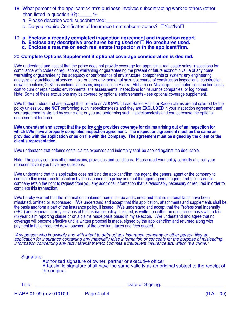- 18. What percent of the applicant's/firm's business involves subcontracting work to others (other than listed in question 3?):\_\_\_\_\_ %
	- a. Please describe work subcontracted:
	- b. Do you require Certificates of Insurance from subcontractors?  $\Box$ Yes/No $\Box$

#### 19. **a. Enclose a recently completed inspection agreement and inspection report.**

- **b. Enclose any descriptive brochures being used or**  $\Box$  **No brochures used.**
- **c. Enclose a resume on each real estate inspector with the applicant/firm.**

#### 20. **Complete Options Supplement if optional coverage consideration is desired.**

I/We understand and accept that the policy does not provide coverage for: appraising; real estate sales; inspections for compliance with codes or regulations; warranting or guaranteeing the present or future economic value of any home; warranting or guaranteeing the adequacy or performance of any structure, components or system; any engineering analysis; any architectural service; mold or other environmental hazards; course of construction inspections; construction draw inspections; 203k inspections; asbestos; inspections in Alaska, Alabama or Mississippi; estimated construction costs, cost to cure or repair costs; environmental site assessments; inspections for insurance companies; or log homes. Note: Some of these exclusions may be covered by optional endorsements - see optional coverage supplement.

I/We further understand and accept that Termite or WDO/WDI; Lead Based Paint; or Radon claims are not covered by the policy unless you are NOT performing such inspections/tests and they are EXCLUDED in your inspection agreement and your agreement is signed by your client; or you are performing such inspections/tests and you purchase the optional endorsement for each.

I/We understand and accept that the policy only provides coverage for claims arising out of an inspection for which I/We have a properly completed inspection agreement. The inspection agreement must be the same as provided with the application or as on file with the Company. The agreement must be signed by the client or the client's representative.

I/We understand that defense costs, claims expenses and indemnity shall be applied against the deductible.

Note: The policy contains other exclusions, provisions and conditions. Please read your policy carefully and call your representative if you have any questions.

I/We understand that this application does not bind the applicant/firm, the agent, the general agent or the company to complete this insurance transaction by the issuance of a policy and that the agent, general agent, and the insurance company retain the right to request from you any additional information that is reasonably necessary or required in order to complete this transaction.

I/We hereby warrant that the information contained herein is true and correct and that no material facts have been misstated, omitted or suppressed. I/We understand and accept that this application, attachments and supplements shall be the basis and form a part of the insurance policy, if issued. I/We understand and accept that the Professional Indemnity (E&O) and General Liability sections of the insurance policy, if issued, is written on either an occurrence basis with a four (4) year claim reporting clause or on a claims made basis based in my selection. I/We understand and agree that no coverage will become effective until a written proposal is made, signed by the applicant/firm and returned along with payment in full or required down payment of the premium, taxes and fees quoted.

"Any person who knowingly and with intent to defraud any insurance company or other person files an application for insurance containing any materially false information or conceals for the purpose of misleading, information concerning any fact material thereto commits a fraudulent insurance act, which is a crime."

Signature:

Authorized signature of owner, partner or executive officer A facsimile signature shall have the same validity as an original subject to the receipt of the original.

Title: \_\_\_\_\_\_\_\_\_\_\_\_\_\_\_\_\_\_\_\_\_\_\_\_\_\_\_\_\_\_\_\_\_\_ Date of Signing: \_\_\_\_\_\_\_\_\_\_\_\_\_\_\_\_\_\_\_\_\_\_\_

 $HIAPP 01 09$  (rev 010109) Page 4 of 4 (ITA – 09)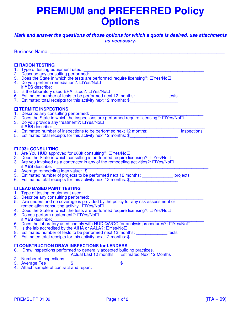# **PREMIUM and PREFERRED Policy Options**

#### **Mark and answer the questions of those options for which a quote is desired, use attachments as necessary.**

Business Name: \_\_\_\_\_\_\_\_\_\_\_\_\_\_\_\_\_\_\_\_\_\_\_\_\_\_\_\_\_\_\_\_\_\_\_\_\_\_\_\_\_\_\_\_\_\_\_\_\_\_\_\_\_\_\_\_\_\_\_\_\_\_\_\_\_\_  **RADON TESTING** 1. Type of testing equipment used: 2. Describe any consulting performed: 3. Does the State in which the tests are performed require licensing?:  $\Box$ Yes/No $\Box$ 4. Do you perform remediation?:  $\Box$ Yes/No $\Box$ if YES describe: 5. Is the laboratory used EPA listed?:  $\Box$ Yes/No $\Box$ 6. Estimated number of tests to be performed next 12 months: \_\_\_\_\_\_\_\_\_\_\_\_\_ tests 7. Estimated total receipts for this activity next 12 months: \$\_\_\_\_\_\_\_\_\_\_\_\_\_\_\_\_\_  **TERMITE INSPECTIONS** 1. Describe any consulting performed: \_\_\_\_\_\_\_\_\_\_\_\_\_\_\_\_\_\_\_\_\_\_\_\_\_\_\_\_\_\_\_\_\_\_\_\_\_\_\_\_\_\_\_\_\_\_\_ 2. Does the State in which the inspections are performed require licensing?: □Yes/No□ 3. Do you provide any treatment?:  $\Box$ Yes/No $\Box$  if **YES** describe: if **YES** describe: \_\_\_\_\_\_\_\_\_\_\_\_\_\_\_\_\_\_\_\_\_\_\_\_\_\_\_\_\_\_\_\_\_\_\_\_\_\_\_\_\_\_\_\_\_\_\_\_\_\_\_\_\_\_\_\_\_\_\_\_\_\_\_ 4. Estimated number of inspections to be performed next 12 months: \_\_\_\_\_\_\_\_\_\_\_\_\_ inspections 5. Estimated total receipts for this activity next 12 months: \$  **203k CONSULTING** 1. Are You HUD approved for 203k consulting?: DYes/NoD 2. Does the State in which consulting is performed require licensing?:  $\Box$ Yes/No $\Box$ 3. Are you involved as a contractor in any of the remodeling activities?:  $\Box$ Yes/No $\Box$ if YES describe: 4. Average remodeling loan value: \$ 5. Estimated number of projects to be performed next 12 months: \_\_\_\_\_\_\_\_\_\_\_\_\_ projects 6. Estimated total receipts for this activity next 12 months: \$  **LEAD BASED PAINT TESTING** 1. Type of testing equipment used: 2. Describe any consulting performed: 5. I/we understand no coverage is provided by the policy for any risk assessment or remediation consulting activity. DYes/NoD 4. Does the State in which the tests are performed require licensing?:  $\Box$ Yes/No $\Box$ 5. Do you perform abatement?:  $\Box$ Yes/No $\Box$  if **YES** describe: if **YES** describe:\_\_\_\_\_\_\_\_\_\_\_\_\_\_\_\_\_\_\_\_\_\_\_\_\_\_\_\_\_\_\_\_\_\_\_\_\_\_\_\_\_\_\_\_\_\_\_\_\_\_\_\_\_\_\_\_\_\_\_\_\_\_\_ 6. Does the laboratory used comply with HUD QA/QC for analysis procedures?:  $\Box$ Yes/No $\Box$ 7. Is the lab accredited by the AIHA or AALA?:  $\Box$ Yes/No $\Box$ 8. Estimated number of tests to be performed next 12 months: \_\_\_\_\_\_\_\_\_\_\_\_\_\_ tests 9. Estimated total receipts for this activity next 12 months: \$  **CONSTRUCTION DRAW INSPECTIONS for LENDERS** 6. Draw inspections performed to generally accepted building practices. Actual Last 12 months Estimated Next 12 Months 2. Number of inspections<br>3. Average Fee <br>3. Average Fee <br>3. Average Fee <br>3. Average Fee <br>3. Average Fee <br>3. Average Fee <br>3. Average Fee <br>3. Average Fee <br>3. Average Fee <br>3. Average Fee <br>3. Average Fee <br>3. Average Fee <br>3. Av

- 3. Average Fee  $\text{\$}$
- 4. Attach sample of contract and report.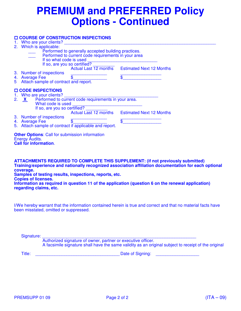# **PREMIUM and PREFERRED Policy Options - Continued**

| 2.             | <b>O COURSE OF CONSTRUCTION INSPECTIONS</b><br>Who are your clients?<br>Which is applicable:<br>Performed to generally accepted building practices.<br>Performed to current code requirements in your area<br>If so what code is used |                                                |
|----------------|---------------------------------------------------------------------------------------------------------------------------------------------------------------------------------------------------------------------------------------|------------------------------------------------|
| 5.             | If so, are you so certified?<br>3. Number of inspections<br>$\overline{\mathbb{S}}$<br>4. Average Fee<br>Attach sample of contract and report.                                                                                        | Actual Last 12 months Estimated Next 12 Months |
| 2 <sub>1</sub> | <b>O CODE INSPECTIONS</b><br>1. Who are your clients?<br>X Performed to current code requirements in your area.<br>What code is used<br>If so, are you so certified?                                                                  | Actual Last 12 months Estimated Next 12 Months |
|                | 3. Number of inspections<br>$\overline{\mathbb{S}}$<br>4. Average Fee<br>5. Attach sample of contract if applicable and report.                                                                                                       | \$                                             |
|                | <b>Other Options:</b> Call for submission information<br><b>Energy Audits.</b><br><b>Call for information.</b>                                                                                                                        |                                                |

**ATTACHMENTS REQUIRED TO COMPLETE THIS SUPPLEMENT: (if not previously submitted) Training/experience and nationally recognized association affiliation documentation for each optional coverage. Samples of testing results, inspections, reports, etc. Copies of licenses. Information as required in question 11 of the application (question 6 on the renewal application) regarding claims, etc.**

I/We hereby warrant that the information contained herein is true and correct and that no material facts have been misstated, omitted or suppressed.

Signature: \_\_\_\_\_\_\_\_\_\_\_\_\_\_\_\_\_\_\_\_\_\_\_\_\_\_\_\_\_\_\_\_\_\_\_\_\_\_\_\_\_\_\_\_\_\_\_\_\_\_\_\_\_\_\_\_\_\_\_\_\_\_\_\_ Authorized signature of owner, partner or executive officer. A facsimile signature shall have the same validity as an original subject to receipt of the original

Title: \_\_\_\_\_\_\_\_\_\_\_\_\_\_\_\_\_\_\_\_\_\_\_\_\_\_\_\_\_\_\_\_\_\_\_ Date of Signing: \_\_\_\_\_\_\_\_\_\_\_\_\_\_\_\_\_\_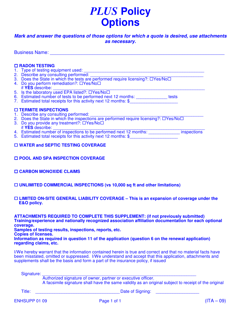# *PLUS* **Policy Options**

#### **Mark and answer the questions of those options for which a quote is desired, use attachments as necessary.**

Business Name: \_\_\_\_\_\_\_\_\_\_\_\_\_\_\_\_\_\_\_\_\_\_\_\_\_\_\_\_\_\_\_\_\_\_\_\_\_\_\_\_\_\_\_\_\_\_\_\_\_\_\_\_\_\_\_\_\_\_\_\_\_\_\_\_\_\_

#### **RADON TESTING**

- 1. Type of testing equipment used: \_\_\_\_\_\_\_\_\_\_\_\_\_\_\_\_\_\_\_\_\_\_\_\_\_\_\_\_\_\_\_\_\_\_\_\_\_\_\_\_\_\_\_\_\_\_\_\_\_\_
- 2. Describe any consulting performed: \_\_\_\_\_\_\_\_\_\_\_\_\_\_\_\_\_\_\_\_\_\_\_\_\_\_\_\_\_\_\_\_\_\_\_\_\_\_\_\_\_\_\_\_\_\_\_
- 3. Does the State in which the tests are performed require licensing?:  $\Box$ Yes/No $\Box$
- 4. Do you perform remediation?: OYes/NoO
- if **YES** describe:
- 5. Is the laboratory used EPA listed?:  $\Box$ Yes/No $\Box$
- 6. Estimated number of tests to be performed next 12 months: \_\_\_\_\_\_\_\_\_\_\_\_\_ tests
- 7. Estimated total receipts for this activity next 12 months: \$

#### **TERMITE INSPECTIONS**

- 1. Describe any consulting performed: \_\_\_\_\_\_\_\_\_\_\_\_\_\_\_\_\_\_\_\_\_\_\_\_\_\_\_\_\_\_\_\_\_\_\_\_\_\_\_\_\_\_\_\_\_\_\_
- 2. Does the State in which the inspections are performed require licensing?: □Yes/No□
- 3. Do you provide any treatment?: □Yes/No□
- if **YES** describe:
- 4. Estimated number of inspections to be performed next 12 months: inspections
- 5. Estimated total receipts for this activity next 12 months: \$

#### **WATER and SEPTIC TESTING COVERAGE**

- **POOL AND SPA INSPECTION COVERAGE**
- **CARBON MONOXIDE CLAIMS**
- **UNLIMITED COMMERCIAL INSPECTIONS (vs 10,000 sq ft and other limitations)**

#### **LIMITED ON-SITE GENERAL LIABILITY COVERAGE – This is an expansion of coverage under the E&O policy.**

**ATTACHMENTS REQUIRED TO COMPLETE THIS SUPPLEMENT: (if not previously submitted) Training/experience and nationally recognized association affiliation documentation for each optional coverage.** 

**Samples of testing results, inspections, reports, etc.** 

**Copies of licenses.** 

**Information as required in question 11 of the application (question 6 on the renewal application) regarding claims, etc.**

I/We hereby warrant that the information contained herein is true and correct and that no material facts have been misstated, omitted or suppressed. I/We understand and accept that this application, attachments and supplements shall be the basis and form a part of the insurance policy, if issued

Signature: \_\_\_\_\_\_\_\_\_\_\_\_\_\_\_\_\_\_\_\_\_\_\_\_\_\_\_\_\_\_\_\_\_\_\_\_\_\_\_\_\_\_\_\_\_\_\_\_\_\_\_\_\_\_\_\_\_\_\_\_\_\_\_\_

Authorized signature of owner, partner or executive officer.

A facsimile signature shall have the same validity as an original subject to receipt of the original

Title: \_\_\_\_\_\_\_\_\_\_\_\_\_\_\_\_\_\_\_\_\_\_\_\_\_\_\_\_\_\_\_\_\_\_\_ Date of Signing: \_\_\_\_\_\_\_\_\_\_\_\_\_\_\_\_\_\_

ENHSUPP 01 09 Page 1 of 1 Processes and the entry of the entry of the entry of the entry of the entry of the entry of the entry of the entry of the entry of the entry of the entry of the entry of the entry of the entry of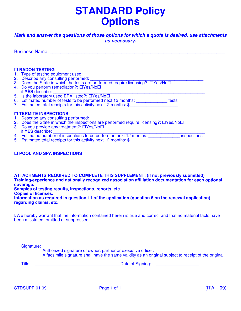# **STANDARD Policy Options**

#### **Mark and answer the questions of those options for which a quote is desired, use attachments as necessary.**

Business Name: \_\_\_\_\_\_\_\_\_\_\_\_\_\_\_\_\_\_\_\_\_\_\_\_\_\_\_\_\_\_\_\_\_\_\_\_\_\_\_\_\_\_\_\_\_\_\_\_\_\_\_\_\_\_\_\_\_\_\_\_\_\_\_\_\_\_

#### **RADON TESTING**

- 1. Type of testing equipment used: \_\_\_\_\_\_\_\_\_\_\_\_\_\_\_\_\_\_\_\_\_\_\_\_\_\_\_\_\_\_\_\_\_\_\_\_\_\_\_\_\_\_\_\_\_\_\_\_\_\_
- 2. Describe any consulting performed: \_\_\_\_\_\_\_\_\_\_\_\_\_\_\_\_\_\_\_\_\_\_\_\_\_\_\_\_\_\_\_\_\_\_\_\_\_\_\_\_\_\_\_\_\_\_\_
- 3. Does the State in which the tests are performed require licensing?:  $\Box$ Yes/No $\Box$
- 4. Do you perform remediation?: DYes/NoD
- if **YES** describe: \_\_\_\_\_\_\_\_\_\_\_\_\_\_\_\_\_\_\_\_\_\_\_\_\_\_\_\_\_\_\_\_\_\_\_\_\_\_\_\_\_\_\_\_\_\_\_\_\_\_\_\_\_\_\_\_\_\_\_\_\_\_\_
- 5. Is the laboratory used EPA listed?:  $\Box$ Yes/No $\Box$
- 6. Estimated number of tests to be performed next 12 months: \_\_\_\_\_\_\_\_\_\_\_\_\_ tests
- 7. Estimated total receipts for this activity next 12 months: \$

#### **TERMITE INSPECTIONS**

- 1. Describe any consulting performed:
- 2. Does the State in which the inspections are performed require licensing?:  $\Box$ Yes/No $\Box$
- 3. Do you provide any treatment?:  $\Box$ Yes/No $\Box$  if **YES** describe:
- if **YES** describe: \_\_\_\_\_\_\_\_\_\_\_\_\_\_\_\_\_\_\_\_\_\_\_\_\_\_\_\_\_\_\_\_\_\_\_\_\_\_\_\_\_\_\_\_\_\_\_\_\_\_\_\_\_\_\_\_\_\_\_\_\_\_\_
- 4. Estimated number of inspections to be performed next 12 months: \_\_\_\_\_\_\_\_\_\_\_\_\_ inspections
- 5. Estimated total receipts for this activity next 12 months: \$

#### **POOL AND SPA INSPECTIONS**

**ATTACHMENTS REQUIRED TO COMPLETE THIS SUPPLEMENT: (if not previously submitted) Training/experience and nationally recognized association affiliation documentation for each optional coverage.** 

**Samples of testing results, inspections, reports, etc.** 

**Copies of licenses.** 

**Information as required in question 11 of the application (question 6 on the renewal application) regarding claims, etc.**

I/We hereby warrant that the information contained herein is true and correct and that no material facts have been misstated, omitted or suppressed.

Signature: \_\_\_\_\_\_\_\_\_\_\_\_\_\_\_\_\_\_\_\_\_\_\_\_\_\_\_\_\_\_\_\_\_\_\_\_\_\_\_\_\_\_\_\_\_\_\_\_\_\_\_\_\_\_\_\_\_\_\_\_\_\_\_\_

 Authorized signature of owner, partner or executive officer. A facsimile signature shall have the same validity as an original subject to receipt of the original

Title: \_\_\_\_\_\_\_\_\_\_\_\_\_\_\_\_\_\_\_\_\_\_\_\_\_\_\_\_\_\_\_\_\_\_\_ Date of Signing: \_\_\_\_\_\_\_\_\_\_\_\_\_\_\_\_\_\_

STDSUPP 01 09 Page 1 of 1 CH is a structure of the contract of the contract of the contract of the contract of t